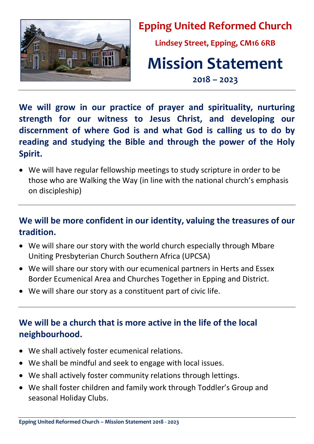

**Epping United Reformed Church**

**Lindsey Street, Epping, CM16 6RB**

# **Mission Statement**

**2018 – 2023**

**We will grow in our practice of prayer and spirituality, nurturing strength for our witness to Jesus Christ, and developing our discernment of where God is and what God is calling us to do by reading and studying the Bible and through the power of the Holy Spirit.**

• We will have regular fellowship meetings to study scripture in order to be those who are Walking the Way (in line with the national church's emphasis on discipleship)

### **We will be more confident in our identity, valuing the treasures of our tradition.**

- We will share our story with the world church especially through Mbare Uniting Presbyterian Church Southern Africa (UPCSA)
- We will share our story with our ecumenical partners in Herts and Essex Border Ecumenical Area and Churches Together in Epping and District.
- We will share our story as a constituent part of civic life.

## **We will be a church that is more active in the life of the local neighbourhood.**

- We shall actively foster ecumenical relations.
- We shall be mindful and seek to engage with local issues.
- We shall actively foster community relations through lettings.
- We shall foster children and family work through Toddler's Group and seasonal Holiday Clubs.